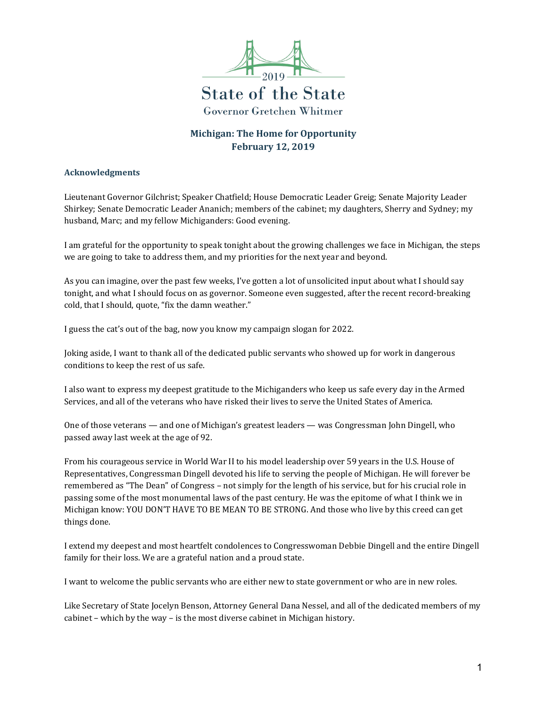

**State of the State Governor Gretchen Whitmer** 

# **Michigan: The Home for Opportunity February 12, 2019**

#### **Acknowledgments**

Lieutenant Governor Gilchrist; Speaker Chatfield; House Democratic Leader Greig; Senate Majority Leader Shirkey; Senate Democratic Leader Ananich; members of the cabinet; my daughters, Sherry and Sydney; my husband, Marc; and my fellow Michiganders: Good evening.

I am grateful for the opportunity to speak tonight about the growing challenges we face in Michigan, the steps we are going to take to address them, and my priorities for the next year and beyond.

As you can imagine, over the past few weeks, I've gotten a lot of unsolicited input about what I should say tonight, and what I should focus on as governor. Someone even suggested, after the recent record-breaking cold, that I should, quote, "fix the damn weather."

I guess the cat's out of the bag, now you know my campaign slogan for 2022.

Joking aside, I want to thank all of the dedicated public servants who showed up for work in dangerous conditions to keep the rest of us safe.

I also want to express my deepest gratitude to the Michiganders who keep us safe every day in the Armed Services, and all of the veterans who have risked their lives to serve the United States of America.

One of those veterans — and one of Michigan's greatest leaders — was Congressman John Dingell, who passed away last week at the age of 92.

From his courageous service in World War II to his model leadership over 59 years in the U.S. House of Representatives, Congressman Dingell devoted his life to serving the people of Michigan. He will forever be remembered as "The Dean" of Congress – not simply for the length of his service, but for his crucial role in passing some of the most monumental laws of the past century. He was the epitome of what I think we in Michigan know: YOU DON'T HAVE TO BE MEAN TO BE STRONG. And those who live by this creed can get things done.

I extend my deepest and most heartfelt condolences to Congresswoman Debbie Dingell and the entire Dingell family for their loss. We are a grateful nation and a proud state.

I want to welcome the public servants who are either new to state government or who are in new roles.

Like Secretary of State Jocelyn Benson, Attorney General Dana Nessel, and all of the dedicated members of my cabinet – which by the way – is the most diverse cabinet in Michigan history.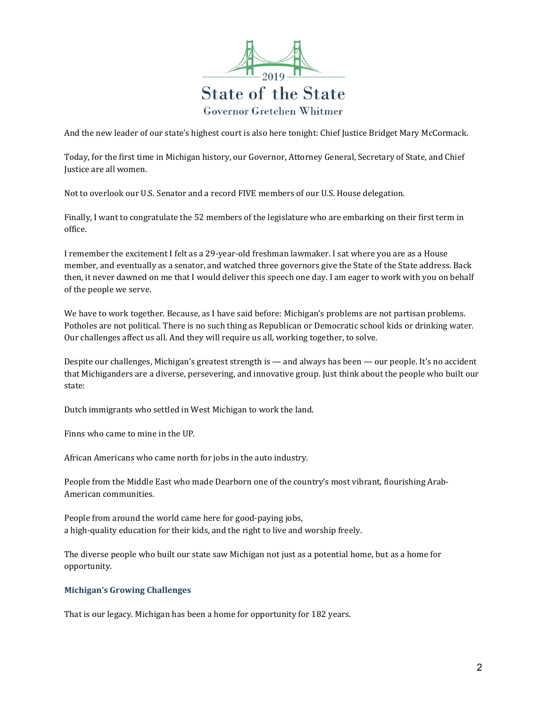

And the new leader of our state's highest court is also here tonight: Chief Justice Bridget Mary McCormack.

Today, for the first time in Michigan history, our Governor, Attorney General, Secretary of State, and Chief Justice are all women.

Not to overlook our U.S. Senator and a record FIVE members of our U.S. House delegation.

Finally, I want to congratulate the 52 members of the legislature who are embarking on their first term in office.

I remember the excitement I felt as a 29-year-old freshman lawmaker. I sat where you are as a House member, and eventually as a senator, and watched three governors give the State of the State address. Back then, it never dawned on me that I would deliver this speech one day. I am eager to work with you on behalf of the people we serve.

We have to work together. Because, as I have said before: Michigan's problems are not partisan problems. Potholes are not political. There is no such thing as Republican or Democratic school kids or drinking water. Our challenges affect us all. And they will require us all, working together, to solve.

Despite our challenges, Michigan's greatest strength is — and always has been — our people. It's no accident that Michiganders are a diverse, persevering, and innovative group. Just think about the people who built our state:

Dutch immigrants who settled in West Michigan to work the land.

Finns who came to mine in the UP.

African Americans who came north for jobs in the auto industry.

People from the Middle East who made Dearborn one of the country's most vibrant, flourishing Arab-American communities.

People from around the world came here for good-paying jobs, a high-quality education for their kids, and the right to live and worship freely.

The diverse people who built our state saw Michigan not just as a potential home, but as a home for opportunity.

#### **Michigan's Growing Challenges**

That is our legacy. Michigan has been a home for opportunity for 182 years.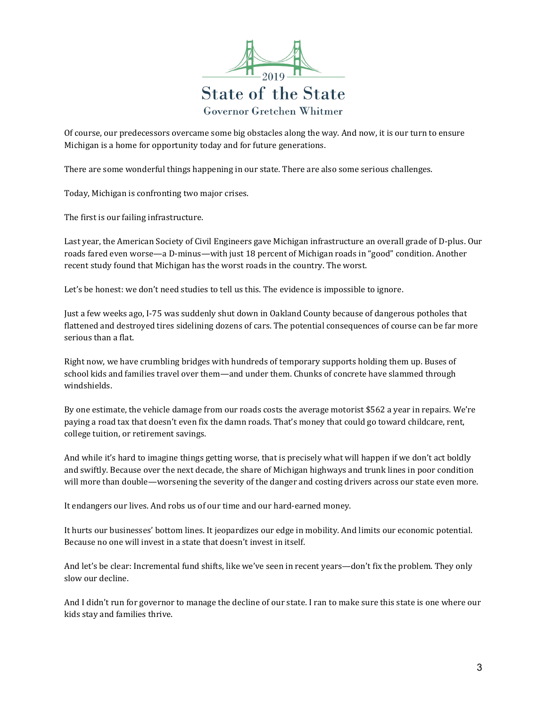

Of course, our predecessors overcame some big obstacles along the way. And now, it is our turn to ensure Michigan is a home for opportunity today and for future generations.

There are some wonderful things happening in our state. There are also some serious challenges.

Today, Michigan is confronting two major crises.

The first is our failing infrastructure.

Last year, the American Society of Civil Engineers gave Michigan infrastructure an overall grade of D-plus. Our roads fared even worse—a D-minus—with just 18 percent of Michigan roads in "good" condition. Another recent study found that Michigan has the worst roads in the country. The worst.

Let's be honest: we don't need studies to tell us this. The evidence is impossible to ignore.

Just a few weeks ago, I-75 was suddenly shut down in Oakland County because of dangerous potholes that flattened and destroyed tires sidelining dozens of cars. The potential consequences of course can be far more serious than a flat.

Right now, we have crumbling bridges with hundreds of temporary supports holding them up. Buses of school kids and families travel over them—and under them. Chunks of concrete have slammed through windshields.

By one estimate, the vehicle damage from our roads costs the average motorist \$562 a year in repairs. We're paying a road tax that doesn't even fix the damn roads. That's money that could go toward childcare, rent, college tuition, or retirement savings.

And while it's hard to imagine things getting worse, that is precisely what will happen if we don't act boldly and swiftly. Because over the next decade, the share of Michigan highways and trunk lines in poor condition will more than double—worsening the severity of the danger and costing drivers across our state even more.

It endangers our lives. And robs us of our time and our hard-earned money.

It hurts our businesses' bottom lines. It jeopardizes our edge in mobility. And limits our economic potential. Because no one will invest in a state that doesn't invest in itself.

And let's be clear: Incremental fund shifts, like we've seen in recent years—don't fix the problem. They only slow our decline.

And I didn't run for governor to manage the decline of our state. I ran to make sure this state is one where our kids stay and families thrive.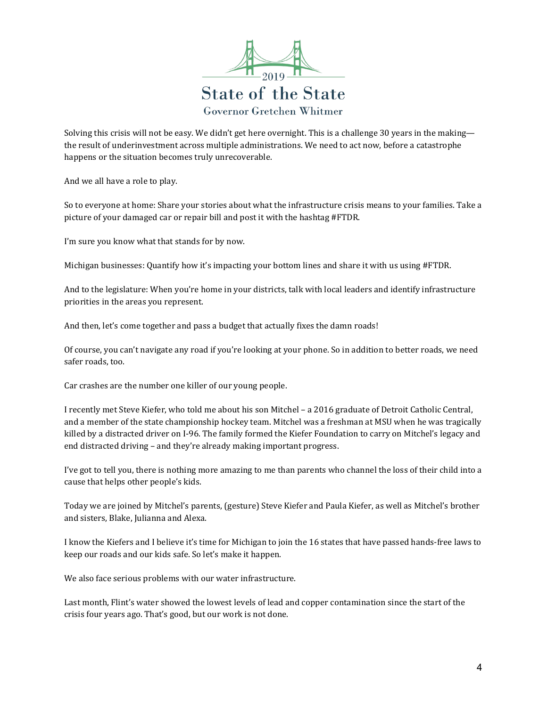

Solving this crisis will not be easy. We didn't get here overnight. This is a challenge 30 years in the making the result of underinvestment across multiple administrations. We need to act now, before a catastrophe happens or the situation becomes truly unrecoverable.

And we all have a role to play.

So to everyone at home: Share your stories about what the infrastructure crisis means to your families. Take a picture of your damaged car or repair bill and post it with the hashtag #FTDR.

I'm sure you know what that stands for by now.

Michigan businesses: Quantify how it's impacting your bottom lines and share it with us using #FTDR.

And to the legislature: When you're home in your districts, talk with local leaders and identify infrastructure priorities in the areas you represent.

And then, let's come together and pass a budget that actually fixes the damn roads!

Of course, you can't navigate any road if you're looking at your phone. So in addition to better roads, we need safer roads, too.

Car crashes are the number one killer of our young people.

I recently met Steve Kiefer, who told me about his son Mitchel – a 2016 graduate of Detroit Catholic Central, and a member of the state championship hockey team. Mitchel was a freshman at MSU when he was tragically killed by a distracted driver on I-96. The family formed the Kiefer Foundation to carry on Mitchel's legacy and end distracted driving – and they're already making important progress.

I've got to tell you, there is nothing more amazing to me than parents who channel the loss of their child into a cause that helps other people's kids.

Today we are joined by Mitchel's parents, (gesture) Steve Kiefer and Paula Kiefer, as well as Mitchel's brother and sisters, Blake, Julianna and Alexa.

I know the Kiefers and I believe it's time for Michigan to join the 16 states that have passed hands-free laws to keep our roads and our kids safe. So let's make it happen.

We also face serious problems with our water infrastructure.

Last month, Flint's water showed the lowest levels of lead and copper contamination since the start of the crisis four years ago. That's good, but our work is not done.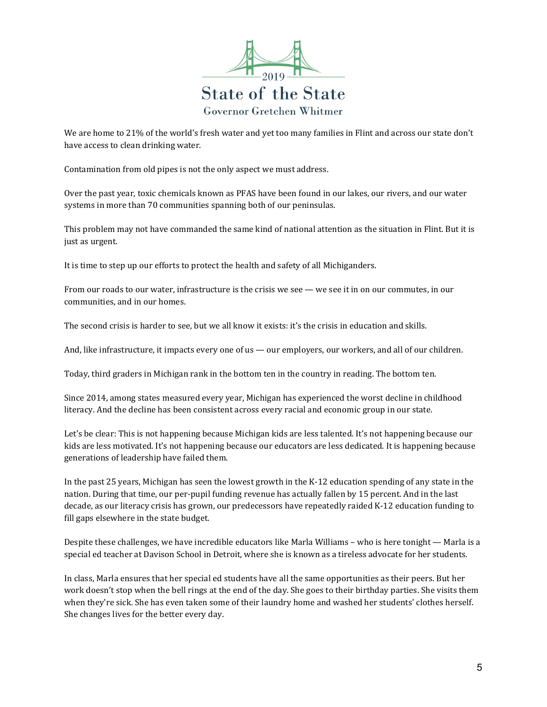

We are home to 21% of the world's fresh water and yet too many families in Flint and across our state don't have access to clean drinking water.

Contamination from old pipes is not the only aspect we must address.

Over the past year, toxic chemicals known as PFAS have been found in our lakes, our rivers, and our water systems in more than 70 communities spanning both of our peninsulas.

This problem may not have commanded the same kind of national attention as the situation in Flint. But it is just as urgent.

It is time to step up our efforts to protect the health and safety of all Michiganders.

From our roads to our water, infrastructure is the crisis we see — we see it in on our commutes, in our communities, and in our homes.

The second crisis is harder to see, but we all know it exists: it's the crisis in education and skills.

And, like infrastructure, it impacts every one of us — our employers, our workers, and all of our children.

Today, third graders in Michigan rank in the bottom ten in the country in reading. The bottom ten.

Since 2014, among states measured every year, Michigan has experienced the worst decline in childhood literacy. And the decline has been consistent across every racial and economic group in our state.

Let's be clear: This is not happening because Michigan kids are less talented. It's not happening because our kids are less motivated. It's not happening because our educators are less dedicated. It is happening because generations of leadership have failed them.

In the past 25 years, Michigan has seen the lowest growth in the K-12 education spending of any state in the nation. During that time, our per-pupil funding revenue has actually fallen by 15 percent. And in the last decade, as our literacy crisis has grown, our predecessors have repeatedly raided K-12 education funding to fill gaps elsewhere in the state budget.

Despite these challenges, we have incredible educators like Marla Williams – who is here tonight — Marla is a special ed teacher at Davison School in Detroit, where she is known as a tireless advocate for her students.

In class, Marla ensures that her special ed students have all the same opportunities as their peers. But her work doesn't stop when the bell rings at the end of the day. She goes to their birthday parties. She visits them when they're sick. She has even taken some of their laundry home and washed her students' clothes herself. She changes lives for the better every day.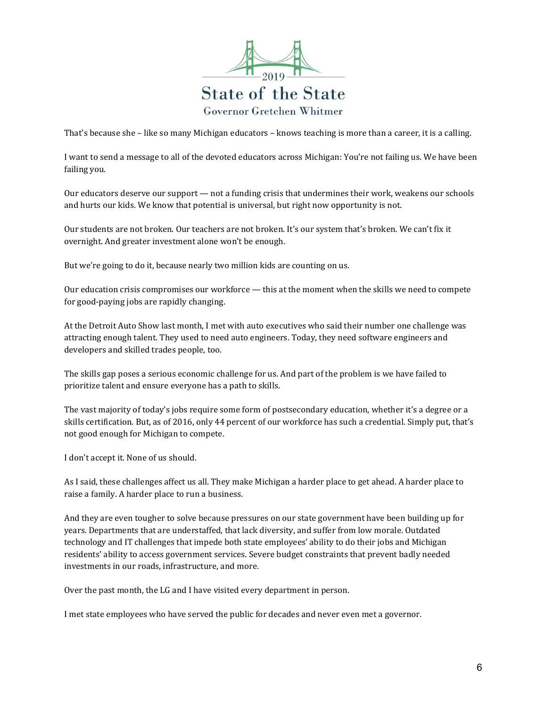

That's because she – like so many Michigan educators – knows teaching is more than a career, it is a calling.

I want to send a message to all of the devoted educators across Michigan: You're not failing us. We have been failing you.

Our educators deserve our support — not a funding crisis that undermines their work, weakens our schools and hurts our kids. We know that potential is universal, but right now opportunity is not.

Our students are not broken. Our teachers are not broken. It's our system that's broken. We can't fix it overnight. And greater investment alone won't be enough.

But we're going to do it, because nearly two million kids are counting on us.

Our education crisis compromises our workforce — this at the moment when the skills we need to compete for good-paying jobs are rapidly changing.

At the Detroit Auto Show last month, I met with auto executives who said their number one challenge was attracting enough talent. They used to need auto engineers. Today, they need software engineers and developers and skilled trades people, too.

The skills gap poses a serious economic challenge for us. And part of the problem is we have failed to prioritize talent and ensure everyone has a path to skills.

The vast majority of today's jobs require some form of postsecondary education, whether it's a degree or a skills certification. But, as of 2016, only 44 percent of our workforce has such a credential. Simply put, that's not good enough for Michigan to compete.

I don't accept it. None of us should.

As I said, these challenges affect us all. They make Michigan a harder place to get ahead. A harder place to raise a family. A harder place to run a business.

And they are even tougher to solve because pressures on our state government have been building up for years. Departments that are understaffed, that lack diversity, and suffer from low morale. Outdated technology and IT challenges that impede both state employees' ability to do their jobs and Michigan residents' ability to access government services. Severe budget constraints that prevent badly needed investments in our roads, infrastructure, and more.

Over the past month, the LG and I have visited every department in person.

I met state employees who have served the public for decades and never even met a governor.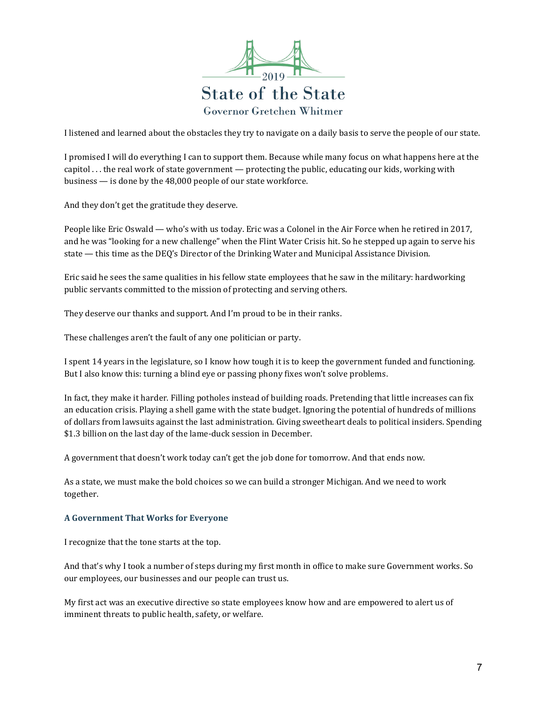

I listened and learned about the obstacles they try to navigate on a daily basis to serve the people of our state.

I promised I will do everything I can to support them. Because while many focus on what happens here at the capitol . . . the real work of state government — protecting the public, educating our kids, working with business — is done by the 48,000 people of our state workforce.

And they don't get the gratitude they deserve.

People like Eric Oswald — who's with us today. Eric was a Colonel in the Air Force when he retired in 2017, and he was "looking for a new challenge" when the Flint Water Crisis hit. So he stepped up again to serve his state — this time as the DEQ's Director of the Drinking Water and Municipal Assistance Division.

Eric said he sees the same qualities in his fellow state employees that he saw in the military: hardworking public servants committed to the mission of protecting and serving others.

They deserve our thanks and support. And I'm proud to be in their ranks.

These challenges aren't the fault of any one politician or party.

I spent 14 years in the legislature, so I know how tough it is to keep the government funded and functioning. But I also know this: turning a blind eye or passing phony fixes won't solve problems.

In fact, they make it harder. Filling potholes instead of building roads. Pretending that little increases can fix an education crisis. Playing a shell game with the state budget. Ignoring the potential of hundreds of millions of dollars from lawsuits against the last administration. Giving sweetheart deals to political insiders. Spending \$1.3 billion on the last day of the lame-duck session in December.

A government that doesn't work today can't get the job done for tomorrow. And that ends now.

As a state, we must make the bold choices so we can build a stronger Michigan. And we need to work together.

## **A Government That Works for Everyone**

I recognize that the tone starts at the top.

And that's why I took a number of steps during my first month in office to make sure Government works. So our employees, our businesses and our people can trust us.

My first act was an executive directive so state employees know how and are empowered to alert us of imminent threats to public health, safety, or welfare.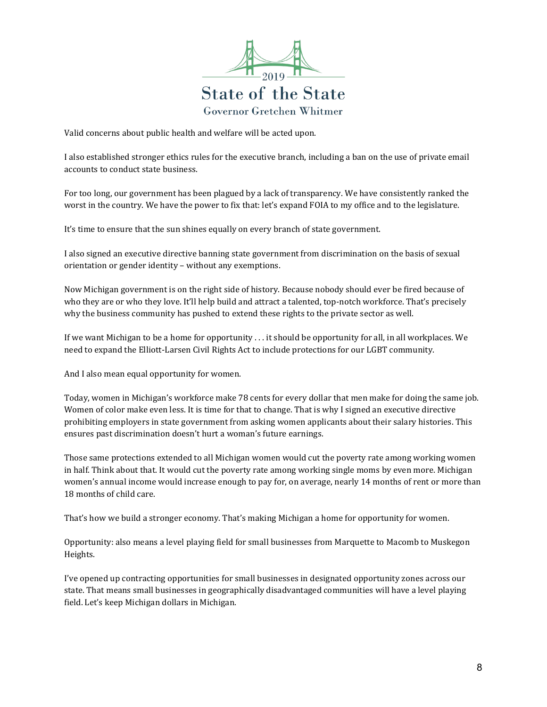

Valid concerns about public health and welfare will be acted upon.

I also established stronger ethics rules for the executive branch, including a ban on the use of private email accounts to conduct state business.

For too long, our government has been plagued by a lack of transparency. We have consistently ranked the worst in the country. We have the power to fix that: let's expand FOIA to my office and to the legislature.

It's time to ensure that the sun shines equally on every branch of state government.

I also signed an executive directive banning state government from discrimination on the basis of sexual orientation or gender identity – without any exemptions.

Now Michigan government is on the right side of history. Because nobody should ever be fired because of who they are or who they love. It'll help build and attract a talented, top-notch workforce. That's precisely why the business community has pushed to extend these rights to the private sector as well.

If we want Michigan to be a home for opportunity . . . it should be opportunity for all, in all workplaces. We need to expand the Elliott-Larsen Civil Rights Act to include protections for our LGBT community.

And I also mean equal opportunity for women.

Today, women in Michigan's workforce make 78 cents for every dollar that men make for doing the same job. Women of color make even less. It is time for that to change. That is why I signed an executive directive prohibiting employers in state government from asking women applicants about their salary histories. This ensures past discrimination doesn't hurt a woman's future earnings.

Those same protections extended to all Michigan women would cut the poverty rate among working women in half. Think about that. It would cut the poverty rate among working single moms by even more. Michigan women's annual income would increase enough to pay for, on average, nearly 14 months of rent or more than 18 months of child care.

That's how we build a stronger economy. That's making Michigan a home for opportunity for women.

Opportunity: also means a level playing field for small businesses from Marquette to Macomb to Muskegon Heights.

I've opened up contracting opportunities for small businesses in designated opportunity zones across our state. That means small businesses in geographically disadvantaged communities will have a level playing field. Let's keep Michigan dollars in Michigan.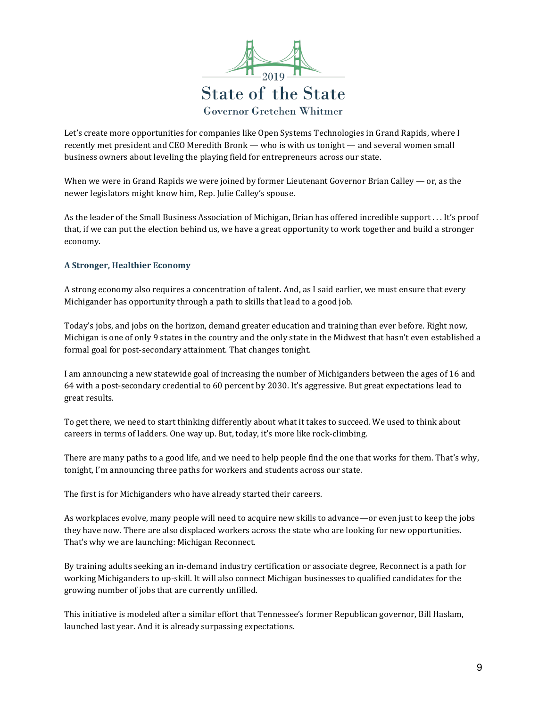

Let's create more opportunities for companies like Open Systems Technologies in Grand Rapids, where I recently met president and CEO Meredith Bronk — who is with us tonight — and several women small business owners about leveling the playing field for entrepreneurs across our state.

When we were in Grand Rapids we were joined by former Lieutenant Governor Brian Calley — or, as the newer legislators might know him, Rep. Julie Calley's spouse.

As the leader of the Small Business Association of Michigan, Brian has offered incredible support . . . It's proof that, if we can put the election behind us, we have a great opportunity to work together and build a stronger economy.

## **A Stronger, Healthier Economy**

A strong economy also requires a concentration of talent. And, as I said earlier, we must ensure that every Michigander has opportunity through a path to skills that lead to a good job.

Today's jobs, and jobs on the horizon, demand greater education and training than ever before. Right now, Michigan is one of only 9 states in the country and the only state in the Midwest that hasn't even established a formal goal for post-secondary attainment. That changes tonight.

I am announcing a new statewide goal of increasing the number of Michiganders between the ages of 16 and 64 with a post-secondary credential to 60 percent by 2030. It's aggressive. But great expectations lead to great results.

To get there, we need to start thinking differently about what it takes to succeed. We used to think about careers in terms of ladders. One way up. But, today, it's more like rock-climbing.

There are many paths to a good life, and we need to help people find the one that works for them. That's why, tonight, I'm announcing three paths for workers and students across our state.

The first is for Michiganders who have already started their careers.

As workplaces evolve, many people will need to acquire new skills to advance—or even just to keep the jobs they have now. There are also displaced workers across the state who are looking for new opportunities. That's why we are launching: Michigan Reconnect.

By training adults seeking an in-demand industry certification or associate degree, Reconnect is a path for working Michiganders to up-skill. It will also connect Michigan businesses to qualified candidates for the growing number of jobs that are currently unfilled.

This initiative is modeled after a similar effort that Tennessee's former Republican governor, Bill Haslam, launched last year. And it is already surpassing expectations.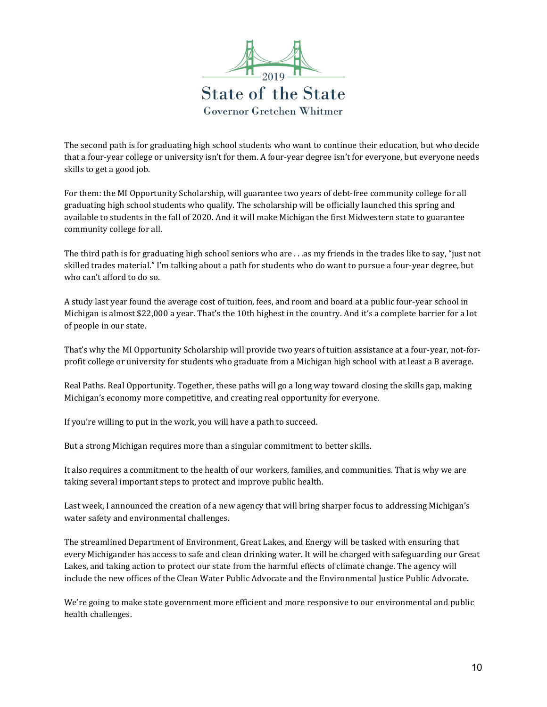

The second path is for graduating high school students who want to continue their education, but who decide that a four-year college or university isn't for them. A four-year degree isn't for everyone, but everyone needs skills to get a good job.

For them: the MI Opportunity Scholarship, will guarantee two years of debt-free community college for all graduating high school students who qualify. The scholarship will be officially launched this spring and available to students in the fall of 2020. And it will make Michigan the first Midwestern state to guarantee community college for all.

The third path is for graduating high school seniors who are . . .as my friends in the trades like to say, "just not skilled trades material." I'm talking about a path for students who do want to pursue a four-year degree, but who can't afford to do so.

A study last year found the average cost of tuition, fees, and room and board at a public four-year school in Michigan is almost \$22,000 a year. That's the 10th highest in the country. And it's a complete barrier for a lot of people in our state.

That's why the MI Opportunity Scholarship will provide two years of tuition assistance at a four-year, not-forprofit college or university for students who graduate from a Michigan high school with at least a B average.

Real Paths. Real Opportunity. Together, these paths will go a long way toward closing the skills gap, making Michigan's economy more competitive, and creating real opportunity for everyone.

If you're willing to put in the work, you will have a path to succeed.

But a strong Michigan requires more than a singular commitment to better skills.

It also requires a commitment to the health of our workers, families, and communities. That is why we are taking several important steps to protect and improve public health.

Last week, I announced the creation of a new agency that will bring sharper focus to addressing Michigan's water safety and environmental challenges.

The streamlined Department of Environment, Great Lakes, and Energy will be tasked with ensuring that every Michigander has access to safe and clean drinking water. It will be charged with safeguarding our Great Lakes, and taking action to protect our state from the harmful effects of climate change. The agency will include the new offices of the Clean Water Public Advocate and the Environmental Justice Public Advocate.

We're going to make state government more efficient and more responsive to our environmental and public health challenges.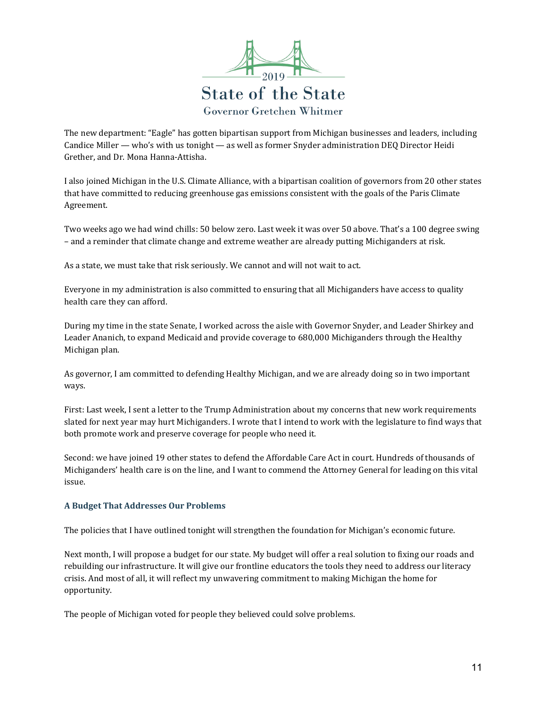

The new department: "Eagle" has gotten bipartisan support from Michigan businesses and leaders, including Candice Miller — who's with us tonight — as well as former Snyder administration DEQ Director Heidi Grether, and Dr. Mona Hanna-Attisha.

I also joined Michigan in the U.S. Climate Alliance, with a bipartisan coalition of governors from 20 other states that have committed to reducing greenhouse gas emissions consistent with the goals of the Paris Climate Agreement.

Two weeks ago we had wind chills: 50 below zero. Last week it was over 50 above. That's a 100 degree swing – and a reminder that climate change and extreme weather are already putting Michiganders at risk.

As a state, we must take that risk seriously. We cannot and will not wait to act.

Everyone in my administration is also committed to ensuring that all Michiganders have access to quality health care they can afford.

During my time in the state Senate, I worked across the aisle with Governor Snyder, and Leader Shirkey and Leader Ananich, to expand Medicaid and provide coverage to 680,000 Michiganders through the Healthy Michigan plan.

As governor, I am committed to defending Healthy Michigan, and we are already doing so in two important ways.

First: Last week, I sent a letter to the Trump Administration about my concerns that new work requirements slated for next year may hurt Michiganders. I wrote that I intend to work with the legislature to find ways that both promote work and preserve coverage for people who need it.

Second: we have joined 19 other states to defend the Affordable Care Act in court. Hundreds of thousands of Michiganders' health care is on the line, and I want to commend the Attorney General for leading on this vital issue.

## **A Budget That Addresses Our Problems**

The policies that I have outlined tonight will strengthen the foundation for Michigan's economic future.

Next month, I will propose a budget for our state. My budget will offer a real solution to fixing our roads and rebuilding our infrastructure. It will give our frontline educators the tools they need to address our literacy crisis. And most of all, it will reflect my unwavering commitment to making Michigan the home for opportunity.

The people of Michigan voted for people they believed could solve problems.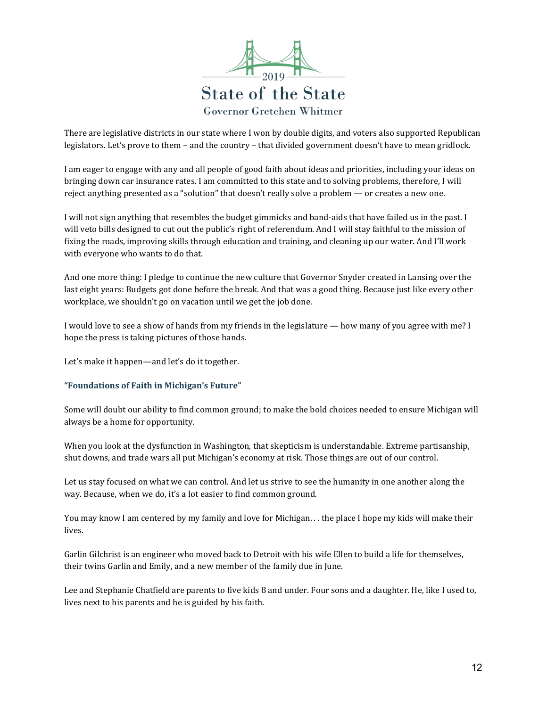

There are legislative districts in our state where I won by double digits, and voters also supported Republican legislators. Let's prove to them – and the country – that divided government doesn't have to mean gridlock.

I am eager to engage with any and all people of good faith about ideas and priorities, including your ideas on bringing down car insurance rates. I am committed to this state and to solving problems, therefore, I will reject anything presented as a "solution" that doesn't really solve a problem — or creates a new one.

I will not sign anything that resembles the budget gimmicks and band-aids that have failed us in the past. I will veto bills designed to cut out the public's right of referendum. And I will stay faithful to the mission of fixing the roads, improving skills through education and training, and cleaning up our water. And I'll work with everyone who wants to do that.

And one more thing: I pledge to continue the new culture that Governor Snyder created in Lansing over the last eight years: Budgets got done before the break. And that was a good thing. Because just like every other workplace, we shouldn't go on vacation until we get the job done.

I would love to see a show of hands from my friends in the legislature — how many of you agree with me? I hope the press is taking pictures of those hands.

Let's make it happen—and let's do it together.

## **"Foundations of Faith in Michigan's Future"**

Some will doubt our ability to find common ground; to make the bold choices needed to ensure Michigan will always be a home for opportunity.

When you look at the dysfunction in Washington, that skepticism is understandable. Extreme partisanship, shut downs, and trade wars all put Michigan's economy at risk. Those things are out of our control.

Let us stay focused on what we can control. And let us strive to see the humanity in one another along the way. Because, when we do, it's a lot easier to find common ground.

You may know I am centered by my family and love for Michigan. . . the place I hope my kids will make their lives.

Garlin Gilchrist is an engineer who moved back to Detroit with his wife Ellen to build a life for themselves, their twins Garlin and Emily, and a new member of the family due in June.

Lee and Stephanie Chatfield are parents to five kids 8 and under. Four sons and a daughter. He, like I used to, lives next to his parents and he is guided by his faith.